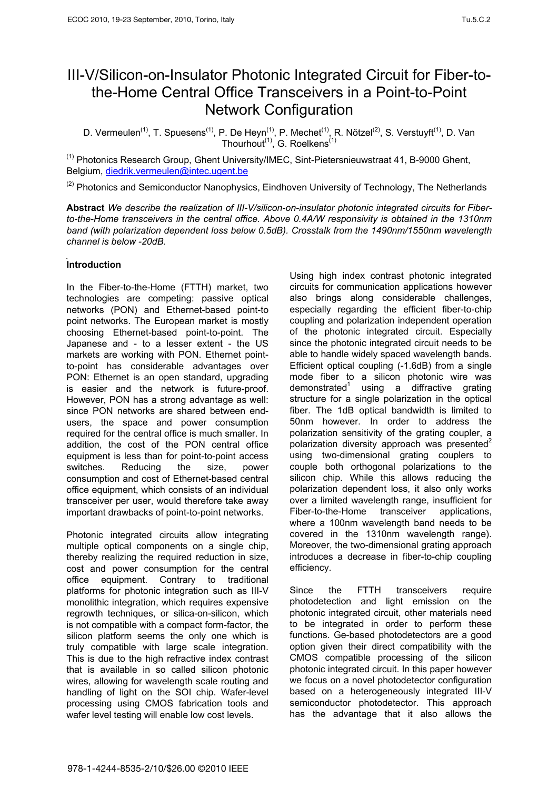# III-V/Silicon-on-Insulator Photonic Integrated Circuit for Fiber-tothe-Home Central Office Transceivers in a Point-to-Point Network Configuration

D. Vermeulen<sup>(1)</sup>, T. Spuesens<sup>(1)</sup>, P. De Heyn<sup>(1)</sup>, P. Mechet<sup>(1)</sup>, R. Nötzel<sup>(2)</sup>, S. Verstuyft<sup>(1)</sup>, D. Van Thourhout<sup>(1)</sup>, G. Roelkens<sup>(1)</sup>

(1) Photonics Research Group, Ghent University/IMEC, Sint-Pietersnieuwstraat 41, B-9000 Ghent, Belgium, diedrik.vermeulen@intec.ugent.be

 $(2)$  Photonics and Semiconductor Nanophysics, Eindhoven University of Technology, The Netherlands

**Abstract** *We describe the realization of III-V/silicon-on-insulator photonic integrated circuits for Fiberto-the-Home transceivers in the central office. Above 0.4A/W responsivity is obtained in the 1310nm band (with polarization dependent loss below 0.5dB). Crosstalk from the 1490nm/1550nm wavelength channel is below -20dB.* 

## **Introduction**

In the Fiber-to-the-Home (FTTH) market, two technologies are competing: passive optical networks (PON) and Ethernet-based point-to point networks. The European market is mostly choosing Ethernet-based point-to-point. The Japanese and - to a lesser extent - the US markets are working with PON. Ethernet pointto-point has considerable advantages over PON: Ethernet is an open standard, upgrading is easier and the network is future-proof. However, PON has a strong advantage as well: since PON networks are shared between endusers, the space and power consumption required for the central office is much smaller. In addition, the cost of the PON central office equipment is less than for point-to-point access switches. Reducing the size, power consumption and cost of Ethernet-based central office equipment, which consists of an individual transceiver per user, would therefore take away important drawbacks of point-to-point networks.

Photonic integrated circuits allow integrating multiple optical components on a single chip, thereby realizing the required reduction in size, cost and power consumption for the central office equipment. Contrary to traditional platforms for photonic integration such as III-V monolithic integration, which requires expensive regrowth techniques, or silica-on-silicon, which is not compatible with a compact form-factor, the silicon platform seems the only one which is truly compatible with large scale integration. This is due to the high refractive index contrast that is available in so called silicon photonic wires, allowing for wavelength scale routing and handling of light on the SOI chip. Wafer-level processing using CMOS fabrication tools and wafer level testing will enable low cost levels.

Using high index contrast photonic integrated circuits for communication applications however also brings along considerable challenges, especially regarding the efficient fiber-to-chip coupling and polarization independent operation of the photonic integrated circuit. Especially since the photonic integrated circuit needs to be able to handle widely spaced wavelength bands. Efficient optical coupling (-1.6dB) from a single mode fiber to a silicon photonic wire was demonstrated<sup>1</sup> using a diffractive grating structure for a single polarization in the optical fiber. The 1dB optical bandwidth is limited to 50nm however. In order to address the polarization sensitivity of the grating coupler, a polarization diversity approach was presented $\epsilon$ using two-dimensional grating couplers to couple both orthogonal polarizations to the silicon chip. While this allows reducing the polarization dependent loss, it also only works over a limited wavelength range, insufficient for Fiber-to-the-Home transceiver applications, where a 100nm wavelength band needs to be covered in the 1310nm wavelength range). Moreover, the two-dimensional grating approach introduces a decrease in fiber-to-chip coupling efficiency.

Since the FTTH transceivers require photodetection and light emission on the photonic integrated circuit, other materials need to be integrated in order to perform these functions. Ge-based photodetectors are a good option given their direct compatibility with the CMOS compatible processing of the silicon photonic integrated circuit. In this paper however we focus on a novel photodetector configuration based on a heterogeneously integrated III-V semiconductor photodetector. This approach has the advantage that it also allows the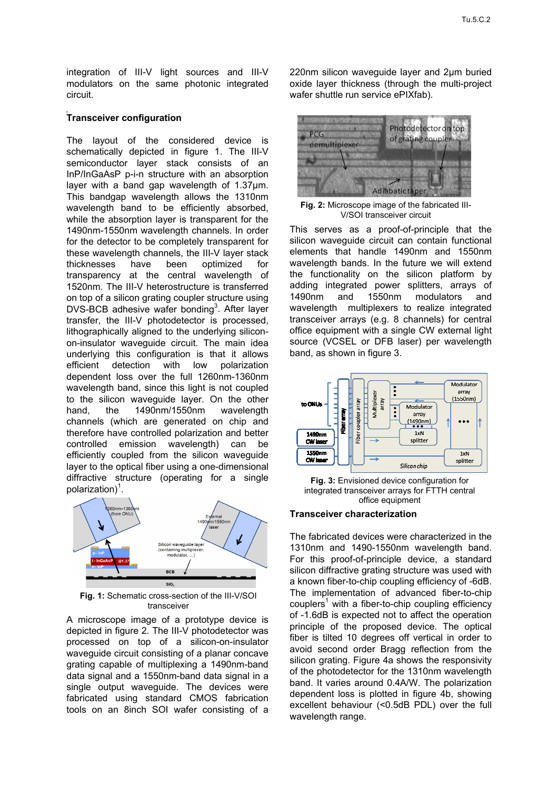integration of III-V light sources and III-V modulators on the same photonic integrated circuit.

### **Transceiver configuration**

The layout of the considered device is schematically depicted in figure 1. The III-V semiconductor layer stack consists of an InP/InGaAsP p-i-n structure with an absorption layer with a band gap wavelength of 1.37µm. This bandgap wavelength allows the 1310nm wavelength band to be efficiently absorbed, while the absorption layer is transparent for the 1490nm-1550nm wavelength channels. In order for the detector to be completely transparent for these wavelength channels, the III-V layer stack thicknesses have been optimized for transparency at the central wavelength of 1520nm. The III-V heterostructure is transferred on top of a silicon grating coupler structure using DVS-BCB adhesive wafer bonding<sup>3</sup>. After layer transfer, the III-V photodetector is processed, lithographically aligned to the underlying siliconon-insulator waveguide circuit. The main idea underlying this configuration is that it allows efficient detection with low polarization dependent loss over the full 1260nm-1360nm wavelength band, since this light is not coupled to the silicon waveguide layer. On the other hand, the 1490nm/1550nm wavelength channels (which are generated on chip and therefore have controlled polarization and better controlled emission wavelength) can be efficiently coupled from the silicon waveguide layer to the optical fiber using a one-dimensional diffractive structure (operating for a single polarization)<sup>1</sup>.



**Fig. 1:** Schematic cross-section of the III-V/SOI transceiver

A microscope image of a prototype device is depicted in figure 2. The III-V photodetector was processed on top of a silicon-on-insulator waveguide circuit consisting of a planar concave grating capable of multiplexing a 1490nm-band data signal and a 1550nm-band data signal in a single output waveguide. The devices were fabricated using standard CMOS fabrication tools on an 8inch SOI wafer consisting of a 220nm silicon waveguide layer and 2µm buried oxide layer thickness (through the multi-project wafer shuttle run service ePIXfab).



**Fig. 2:** Microscope image of the fabricated III-V/SOI transceiver circuit

This serves as a proof-of-principle that the silicon waveguide circuit can contain functional elements that handle 1490nm and 1550nm wavelength bands. In the future we will extend the functionality on the silicon platform by adding integrated power splitters, arrays of 1490nm and 1550nm modulators and wavelength multiplexers to realize integrated transceiver arrays (e.g. 8 channels) for central office equipment with a single CW external light source (VCSEL or DFB laser) per wavelength band, as shown in figure 3.



**Fig. 3:** Envisioned device configuration for integrated transceiver arrays for FTTH central office equipment

#### **Transceiver characterization**

The fabricated devices were characterized in the 1310nm and 1490-1550nm wavelength band. For this proof-of-principle device, a standard silicon diffractive grating structure was used with a known fiber-to-chip coupling efficiency of -6dB. The implementation of advanced fiber-to-chip couplers<sup>1</sup> with a fiber-to-chip coupling efficiency of -1.6dB is expected not to affect the operation principle of the proposed device. The optical fiber is tilted 10 degrees off vertical in order to avoid second order Bragg reflection from the silicon grating. Figure 4a shows the responsivity of the photodetector for the 1310nm wavelength band. It varies around 0.4A/W. The polarization dependent loss is plotted in figure 4b, showing excellent behaviour (<0.5dB PDL) over the full wavelength range.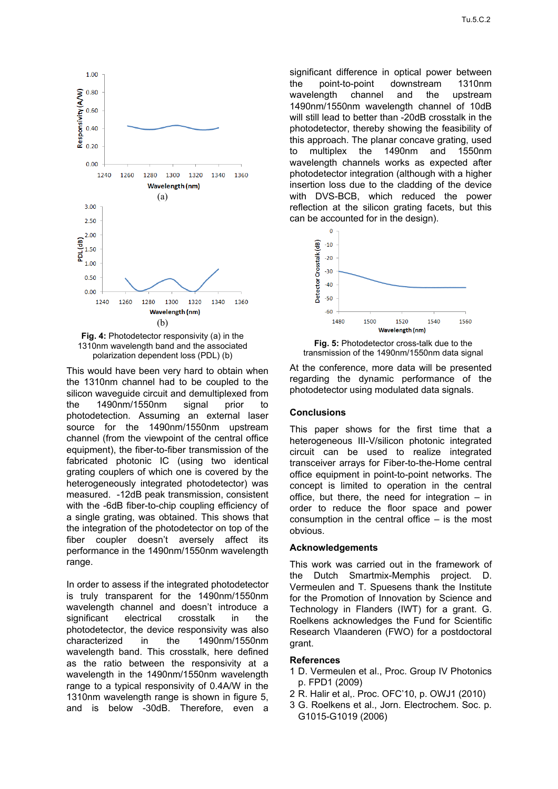

**Fig. 4:** Photodetector responsivity (a) in the 1310nm wavelength band and the associated polarization dependent loss (PDL) (b)

This would have been very hard to obtain when the 1310nm channel had to be coupled to the silicon waveguide circuit and demultiplexed from the 1490nm/1550nm signal prior to photodetection. Assuming an external laser source for the 1490nm/1550nm upstream channel (from the viewpoint of the central office equipment), the fiber-to-fiber transmission of the fabricated photonic IC (using two identical grating couplers of which one is covered by the heterogeneously integrated photodetector) was measured. -12dB peak transmission, consistent with the -6dB fiber-to-chip coupling efficiency of a single grating, was obtained. This shows that the integration of the photodetector on top of the fiber coupler doesn't aversely affect its performance in the 1490nm/1550nm wavelength range.

In order to assess if the integrated photodetector is truly transparent for the 1490nm/1550nm wavelength channel and doesn't introduce a significant electrical crosstalk in the photodetector, the device responsivity was also characterized in the 1490nm/1550nm wavelength band. This crosstalk, here defined as the ratio between the responsivity at a wavelength in the 1490nm/1550nm wavelength range to a typical responsivity of 0.4A/W in the 1310nm wavelength range is shown in figure 5, and is below -30dB. Therefore, even a

significant difference in optical power between the point-to-point downstream 1310nm wavelength channel and the upstream 1490nm/1550nm wavelength channel of 10dB will still lead to better than -20dB crosstalk in the photodetector, thereby showing the feasibility of this approach. The planar concave grating, used to multiplex the 1490nm and 1550nm wavelength channels works as expected after photodetector integration (although with a higher insertion loss due to the cladding of the device with DVS-BCB, which reduced the power reflection at the silicon grating facets, but this can be accounted for in the design).



**Fig. 5:** Photodetector cross-talk due to the transmission of the 1490nm/1550nm data signal

At the conference, more data will be presented regarding the dynamic performance of the photodetector using modulated data signals.

#### **Conclusions**

This paper shows for the first time that a heterogeneous III-V/silicon photonic integrated circuit can be used to realize integrated transceiver arrays for Fiber-to-the-Home central office equipment in point-to-point networks. The concept is limited to operation in the central office, but there, the need for integration – in order to reduce the floor space and power consumption in the central office – is the most obvious.

#### **Acknowledgements**

This work was carried out in the framework of the Dutch Smartmix-Memphis project. D. Vermeulen and T. Spuesens thank the Institute for the Promotion of Innovation by Science and Technology in Flanders (IWT) for a grant. G. Roelkens acknowledges the Fund for Scientific Research Vlaanderen (FWO) for a postdoctoral grant.

#### **References**

- 1 D. Vermeulen et al., Proc. Group IV Photonics p. FPD1 (2009)
- 2 R. Halir et al,. Proc. OFC'10, p. OWJ1 (2010)
- 3 G. Roelkens et al., Jorn. Electrochem. Soc. p. G1015-G1019 (2006)